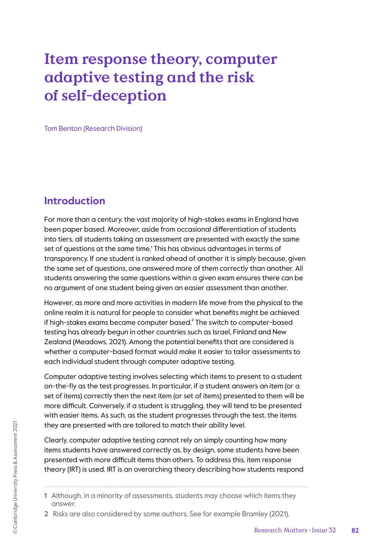# **Item response theory, computer adaptive testing and the risk of self-deception**

Tom Benton (Research Division)

# **Introduction**

For more than a century, the vast majority of high-stakes exams in England have been paper based. Moreover, aside from occasional differentiation of students into tiers, all students taking an assessment are presented with exactly the same set of questions at the same time.<sup>1</sup> This has obvious advantages in terms of transparency. If one student is ranked ahead of another it is simply because, given the same set of questions, one answered more of them correctly than another. All students answering the same questions within a given exam ensures there can be no argument of one student being given an easier assessment than another.

However, as more and more activities in modern life move from the physical to the online realm it is natural for people to consider what benefits might be achieved if high-stakes exams became computer based. $<sup>2</sup>$  The switch to computer-based</sup> testing has already begun in other countries such as Israel, Finland and New Zealand (Meadows, 2021). Among the potential benefits that are considered is whether a computer-based format would make it easier to tailor assessments to each individual student through computer adaptive testing.

Computer adaptive testing involves selecting which items to present to a student on-the-fly as the test progresses. In particular, if a student answers an item (or a set of items) correctly then the next item (or set of items) presented to them will be more difficult. Conversely, if a student is struggling, they will tend to be presented with easier items. As such, as the student progresses through the test, the items they are presented with are tailored to match their ability level.

Clearly, computer adaptive testing cannot rely on simply counting how many items students have answered correctly as, by design, some students have been presented with more difficult items than others. To address this, item response theory (IRT) is used. IRT is an overarching theory describing how students respond

- 1 Although, in a minority of assessments, students may choose which items they
- answer.
- 2 Risks are also considered by some authors. See for example Bramley (2021).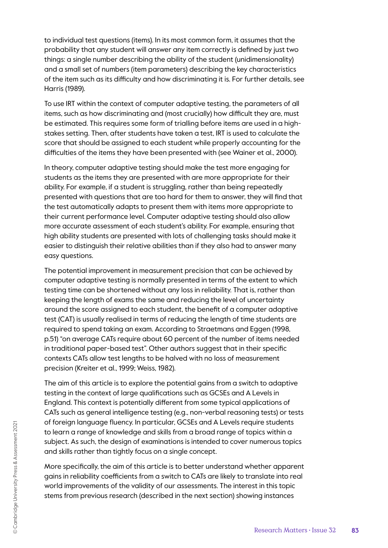to individual test questions (items). In its most common form, it assumes that the probability that any student will answer any item correctly is defined by just two things: a single number describing the ability of the student (unidimensionality) and a small set of numbers (item parameters) describing the key characteristics of the item such as its difficulty and how discriminating it is. For further details, see Harris (1989).

To use IRT within the context of computer adaptive testing, the parameters of all items, such as how discriminating and (most crucially) how difficult they are, must be estimated. This requires some form of trialling before items are used in a highstakes setting. Then, after students have taken a test, IRT is used to calculate the score that should be assigned to each student while properly accounting for the difficulties of the items they have been presented with (see Wainer et al., 2000).

In theory, computer adaptive testing should make the test more engaging for students as the items they are presented with are more appropriate for their ability. For example, if a student is struggling, rather than being repeatedly presented with questions that are too hard for them to answer, they will find that the test automatically adapts to present them with items more appropriate to their current performance level. Computer adaptive testing should also allow more accurate assessment of each student's ability. For example, ensuring that high ability students are presented with lots of challenging tasks should make it easier to distinguish their relative abilities than if they also had to answer many easy questions.

The potential improvement in measurement precision that can be achieved by computer adaptive testing is normally presented in terms of the extent to which testing time can be shortened without any loss in reliability. That is, rather than keeping the length of exams the same and reducing the level of uncertainty around the score assigned to each student, the benefit of a computer adaptive test (CAT) is usually realised in terms of reducing the length of time students are required to spend taking an exam. According to Straetmans and Eggen (1998, p.51) "on average CATs require about 60 percent of the number of items needed in traditional paper-based test". Other authors suggest that in their specific contexts CATs allow test lengths to be halved with no loss of measurement precision (Kreiter et al., 1999; Weiss, 1982).

The aim of this article is to explore the potential gains from a switch to adaptive testing in the context of large qualifications such as GCSEs and A Levels in England. This context is potentially different from some typical applications of CATs such as general intelligence testing (e.g., non-verbal reasoning tests) or tests of foreign language fluency. In particular, GCSEs and A Levels require students to learn a range of knowledge and skills from a broad range of topics within a subject. As such, the design of examinations is intended to cover numerous topics and skills rather than tightly focus on a single concept.

More specifically, the aim of this article is to better understand whether apparent gains in reliability coefficients from a switch to CATs are likely to translate into real world improvements of the validity of our assessments. The interest in this topic stems from previous research (described in the next section) showing instances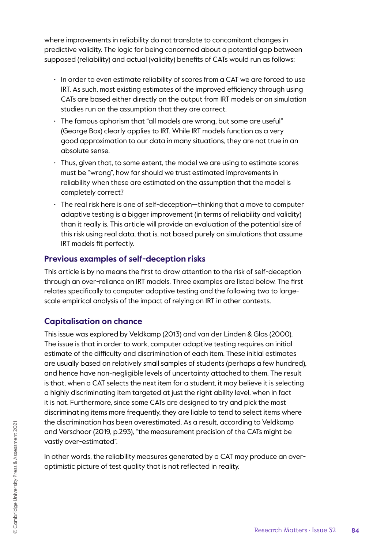where improvements in reliability do not translate to concomitant changes in predictive validity. The logic for being concerned about a potential gap between supposed (reliability) and actual (validity) benefits of CATs would run as follows:

- In order to even estimate reliability of scores from a CAT we are forced to use IRT. As such, most existing estimates of the improved efficiency through using CATs are based either directly on the output from IRT models or on simulation studies run on the assumption that they are correct.
- The famous aphorism that "all models are wrong, but some are useful" (George Box) clearly applies to IRT. While IRT models function as a very good approximation to our data in many situations, they are not true in an absolute sense.
- Thus, given that, to some extent, the model we are using to estimate scores must be "wrong", how far should we trust estimated improvements in reliability when these are estimated on the assumption that the model is completely correct?
- The real risk here is one of self-deception—thinking that a move to computer adaptive testing is a bigger improvement (in terms of reliability and validity) than it really is. This article will provide an evaluation of the potential size of this risk using real data, that is, not based purely on simulations that assume IRT models fit perfectly.

## **Previous examples of self-deception risks**

This article is by no means the first to draw attention to the risk of self-deception through an over-reliance on IRT models. Three examples are listed below. The first relates specifically to computer adaptive testing and the following two to largescale empirical analysis of the impact of relying on IRT in other contexts.

## **Capitalisation on chance**

This issue was explored by Veldkamp (2013) and van der Linden & Glas (2000). The issue is that in order to work, computer adaptive testing requires an initial estimate of the difficulty and discrimination of each item. These initial estimates are usually based on relatively small samples of students (perhaps a few hundred), and hence have non-negligible levels of uncertainty attached to them. The result is that, when a CAT selects the next item for a student, it may believe it is selecting a highly discriminating item targeted at just the right ability level, when in fact it is not. Furthermore, since some CATs are designed to try and pick the most discriminating items more frequently, they are liable to tend to select items where the discrimination has been overestimated. As a result, according to Veldkamp and Verschoor (2019, p.293), "the measurement precision of the CATs might be vastly over-estimated".

In other words, the reliability measures generated by a CAT may produce an overoptimistic picture of test quality that is not reflected in reality.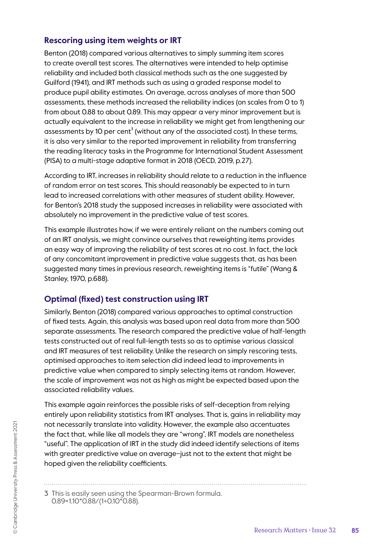## **Rescoring using item weights or IRT**

Benton (2018) compared various alternatives to simply summing item scores to create overall test scores. The alternatives were intended to help optimise reliability and included both classical methods such as the one suggested by Guilford (1941), and IRT methods such as using a graded response model to produce pupil ability estimates. On average, across analyses of more than 500 assessments, these methods increased the reliability indices (on scales from 0 to 1) from about 0.88 to about 0.89. This may appear a very minor improvement but is actually equivalent to the increase in reliability we might get from lengthening our assessments by 10 per cent<sup>3</sup> (without any of the associated cost). In these terms, it is also very similar to the reported improvement in reliability from transferring the reading literacy tasks in the Programme for International Student Assessment (PISA) to a multi-stage adaptive format in 2018 (OECD, 2019, p.27).

According to IRT, increases in reliability should relate to a reduction in the influence of random error on test scores. This should reasonably be expected to in turn lead to increased correlations with other measures of student ability. However, for Benton's 2018 study the supposed increases in reliability were associated with absolutely no improvement in the predictive value of test scores.

This example illustrates how, if we were entirely reliant on the numbers coming out of an IRT analysis, we might convince ourselves that reweighting items provides an easy way of improving the reliability of test scores at no cost. In fact, the lack of any concomitant improvement in predictive value suggests that, as has been suggested many times in previous research, reweighting items is "futile" (Wang & Stanley, 1970, p.688).

## **Optimal (fixed) test construction using IRT**

Similarly, Benton (2018) compared various approaches to optimal construction of fixed tests. Again, this analysis was based upon real data from more than 500 separate assessments. The research compared the predictive value of half-length tests constructed out of real full-length tests so as to optimise various classical and IRT measures of test reliability. Unlike the research on simply rescoring tests, optimised approaches to item selection did indeed lead to improvements in predictive value when compared to simply selecting items at random. However, the scale of improvement was not as high as might be expected based upon the associated reliability values.

This example again reinforces the possible risks of self-deception from relying entirely upon reliability statistics from IRT analyses. That is, gains in reliability may not necessarily translate into validity. However, the example also accentuates the fact that, while like all models they are "wrong", IRT models are nonetheless "useful". The application of IRT in the study did indeed identify selections of items with greater predictive value on average–just not to the extent that might be hoped given the reliability coefficients.

3 This is easily seen using the Spearman-Brown formula. 0.89≈1.10\*0.88/(1+0.10\*0.88).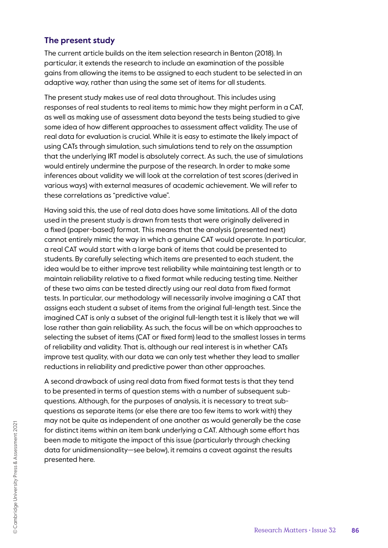#### **The present study**

The current article builds on the item selection research in Benton (2018). In particular, it extends the research to include an examination of the possible gains from allowing the items to be assigned to each student to be selected in an adaptive way, rather than using the same set of items for all students.

The present study makes use of real data throughout. This includes using responses of real students to real items to mimic how they might perform in a CAT, as well as making use of assessment data beyond the tests being studied to give some idea of how different approaches to assessment affect validity. The use of real data for evaluation is crucial. While it is easy to estimate the likely impact of using CATs through simulation, such simulations tend to rely on the assumption that the underlying IRT model is absolutely correct. As such, the use of simulations would entirely undermine the purpose of the research. In order to make some inferences about validity we will look at the correlation of test scores (derived in various ways) with external measures of academic achievement. We will refer to these correlations as "predictive value".

Having said this, the use of real data does have some limitations. All of the data used in the present study is drawn from tests that were originally delivered in a fixed (paper-based) format. This means that the analysis (presented next) cannot entirely mimic the way in which a genuine CAT would operate. In particular, a real CAT would start with a large bank of items that could be presented to students. By carefully selecting which items are presented to each student, the idea would be to either improve test reliability while maintaining test length or to maintain reliability relative to a fixed format while reducing testing time. Neither of these two aims can be tested directly using our real data from fixed format tests. In particular, our methodology will necessarily involve imagining a CAT that assigns each student a subset of items from the original full-length test. Since the imagined CAT is only a subset of the original full-length test it is likely that we will lose rather than gain reliability. As such, the focus will be on which approaches to selecting the subset of items (CAT or fixed form) lead to the smallest losses in terms of reliability and validity. That is, although our real interest is in whether CATs improve test quality, with our data we can only test whether they lead to smaller reductions in reliability and predictive power than other approaches.

A second drawback of using real data from fixed format tests is that they tend to be presented in terms of question stems with a number of subsequent subquestions. Although, for the purposes of analysis, it is necessary to treat subquestions as separate items (or else there are too few items to work with) they may not be quite as independent of one another as would generally be the case for distinct items within an item bank underlying a CAT. Although some effort has been made to mitigate the impact of this issue (particularly through checking data for unidimensionality—see below), it remains a caveat against the results presented here.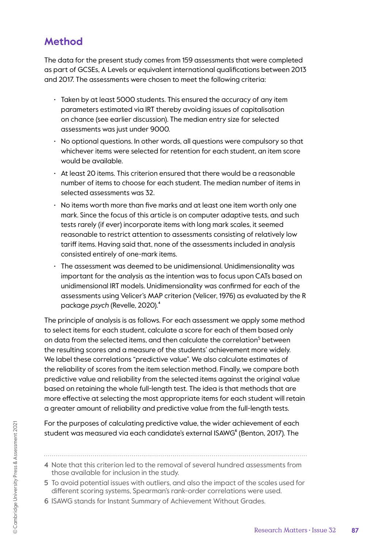# **Method**

The data for the present study comes from 159 assessments that were completed as part of GCSEs, A Levels or equivalent international qualifications between 2013 and 2017. The assessments were chosen to meet the following criteria:

- Taken by at least 5000 students. This ensured the accuracy of any item parameters estimated via IRT thereby avoiding issues of capitalisation on chance (see earlier discussion). The median entry size for selected assessments was just under 9000.
- No optional questions. In other words, all questions were compulsory so that whichever items were selected for retention for each student, an item score would be available.
- At least 20 items. This criterion ensured that there would be a reasonable number of items to choose for each student. The median number of items in selected assessments was 32.
- No items worth more than five marks and at least one item worth only one mark. Since the focus of this article is on computer adaptive tests, and such tests rarely (if ever) incorporate items with long mark scales, it seemed reasonable to restrict attention to assessments consisting of relatively low tariff items. Having said that, none of the assessments included in analysis consisted entirely of one-mark items.
- The assessment was deemed to be unidimensional. Unidimensionality was important for the analysis as the intention was to focus upon CATs based on unidimensional IRT models. Unidimensionality was confirmed for each of the assessments using Velicer's MAP criterion (Velicer, 1976) as evaluated by the R package *psych* (Revelle, 2020)*.*4

The principle of analysis is as follows. For each assessment we apply some method to select items for each student, calculate a score for each of them based only on data from the selected items, and then calculate the correlation<sup>5</sup> between the resulting scores and a measure of the students' achievement more widely. We label these correlations "predictive value". We also calculate estimates of the reliability of scores from the item selection method. Finally, we compare both predictive value and reliability from the selected items against the original value based on retaining the whole full-length test. The idea is that methods that are more effective at selecting the most appropriate items for each student will retain a greater amount of reliability and predictive value from the full-length tests.

For the purposes of calculating predictive value, the wider achievement of each student was measured via each candidate's external ISAWG<sup>6</sup> (Benton, 2017). The

4 Note that this criterion led to the removal of several hundred assessments from those available for inclusion in the study.

- 5 To avoid potential issues with outliers, and also the impact of the scales used for different scoring systems, Spearman's rank-order correlations were used.
- 6 ISAWG stands for Instant Summary of Achievement Without Grades.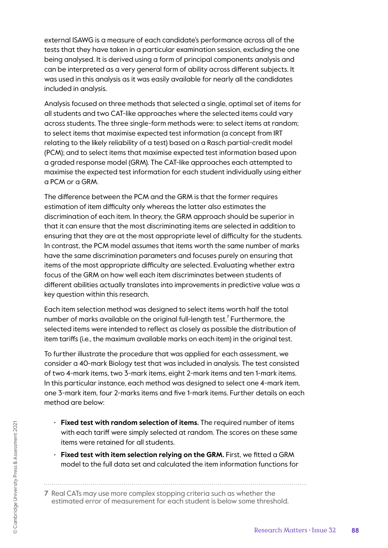external ISAWG is a measure of each candidate's performance across all of the tests that they have taken in a particular examination session, excluding the one being analysed. It is derived using a form of principal components analysis and can be interpreted as a very general form of ability across different subjects. It was used in this analysis as it was easily available for nearly all the candidates included in analysis.

Analysis focused on three methods that selected a single, optimal set of items for all students and two CAT-like approaches where the selected items could vary across students. The three single-form methods were: to select items at random; to select items that maximise expected test information (a concept from IRT relating to the likely reliability of a test) based on a Rasch partial-credit model (PCM); and to select items that maximise expected test information based upon a graded response model (GRM). The CAT-like approaches each attempted to maximise the expected test information for each student individually using either a PCM or a GRM.

The difference between the PCM and the GRM is that the former requires estimation of item difficulty only whereas the latter also estimates the discrimination of each item. In theory, the GRM approach should be superior in that it can ensure that the most discriminating items are selected in addition to ensuring that they are at the most appropriate level of difficulty for the students. In contrast, the PCM model assumes that items worth the same number of marks have the same discrimination parameters and focuses purely on ensuring that items of the most appropriate difficulty are selected. Evaluating whether extra focus of the GRM on how well each item discriminates between students of different abilities actually translates into improvements in predictive value was a key question within this research.

Each item selection method was designed to select items worth half the total number of marks available on the original full-length test.<sup>7</sup> Furthermore, the selected items were intended to reflect as closely as possible the distribution of item tariffs (i.e., the maximum available marks on each item) in the original test.

To further illustrate the procedure that was applied for each assessment, we consider a 40-mark Biology test that was included in analysis. The test consisted of two 4-mark items, two 3-mark items, eight 2-mark items and ten 1-mark items. In this particular instance, each method was designed to select one 4-mark item, one 3-mark item, four 2-marks items and five 1-mark items. Further details on each method are below:

- **Fixed test with random selection of items.** The required number of items with each tariff were simply selected at random. The scores on these same items were retained for all students.
- **Fixed test with item selection relying on the GRM.** First, we fitted a GRM model to the full data set and calculated the item information functions for
- 7 Real CATs may use more complex stopping criteria such as whether the estimated error of measurement for each student is below some threshold.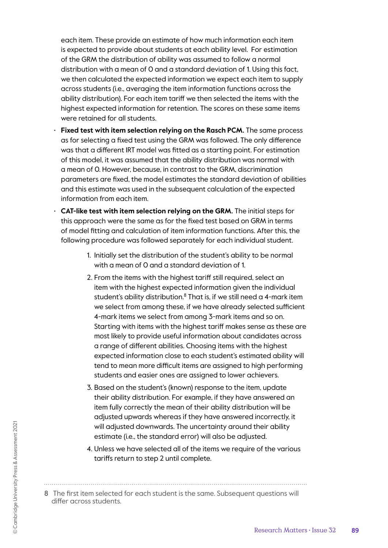each item. These provide an estimate of how much information each item is expected to provide about students at each ability level. For estimation of the GRM the distribution of ability was assumed to follow a normal distribution with a mean of 0 and a standard deviation of 1. Using this fact, we then calculated the expected information we expect each item to supply across students (i.e., averaging the item information functions across the ability distribution). For each item tariff we then selected the items with the highest expected information for retention. The scores on these same items were retained for all students.

- **Fixed test with item selection relying on the Rasch PCM.** The same process as for selecting a fixed test using the GRM was followed. The only difference was that a different IRT model was fitted as a starting point. For estimation of this model, it was assumed that the ability distribution was normal with a mean of 0. However, because, in contrast to the GRM, discrimination parameters are fixed, the model estimates the standard deviation of abilities and this estimate was used in the subsequent calculation of the expected information from each item.
- **CAT-like test with item selection relying on the GRM.** The initial steps for this approach were the same as for the fixed test based on GRM in terms of model fitting and calculation of item information functions. After this, the following procedure was followed separately for each individual student.
	- 1. Initially set the distribution of the student's ability to be normal with a mean of 0 and a standard deviation of 1.
	- 2. From the items with the highest tariff still required, select an item with the highest expected information given the individual student's ability distribution. $8$  That is, if we still need a 4-mark item we select from among these, if we have already selected sufficient 4-mark items we select from among 3-mark items and so on. Starting with items with the highest tariff makes sense as these are most likely to provide useful information about candidates across a range of different abilities. Choosing items with the highest expected information close to each student's estimated ability will tend to mean more difficult items are assigned to high performing students and easier ones are assigned to lower achievers.
	- 3. Based on the student's (known) response to the item, update their ability distribution. For example, if they have answered an item fully correctly the mean of their ability distribution will be adjusted upwards whereas if they have answered incorrectly, it will adjusted downwards. The uncertainty around their ability estimate (i.e., the standard error) will also be adjusted.
	- 4. Unless we have selected all of the items we require of the various tariffs return to step 2 until complete.
- 8 The first item selected for each student is the same. Subsequent questions will differ across students.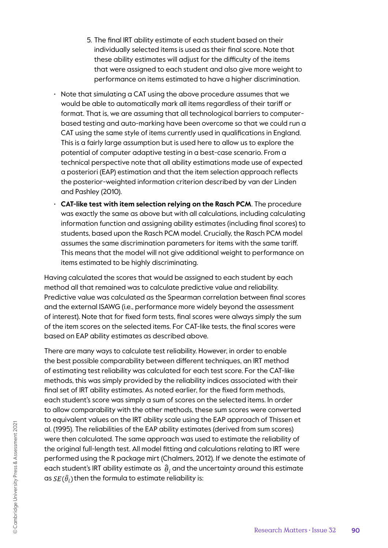- 5. The final IRT ability estimate of each student based on their individually selected items is used as their final score. Note that these ability estimates will adjust for the difficulty of the items that were assigned to each student and also give more weight to performance on items estimated to have a higher discrimination.
- Note that simulating a CAT using the above procedure assumes that we would be able to automatically mark all items regardless of their tariff or format. That is, we are assuming that all technological barriers to computerbased testing and auto-marking have been overcome so that we could run a CAT using the same style of items currently used in qualifications in England. This is a fairly large assumption but is used here to allow us to explore the potential of computer adaptive testing in a best-case scenario. From a technical perspective note that all ability estimations made use of expected a posteriori (EAP) estimation and that the item selection approach reflects the posterior-weighted information criterion described by van der Linden and Pashley (2010).
- **CAT-like test with item selection relying on the Rasch PCM**. The procedure was exactly the same as above but with all calculations, including calculating information function and assigning ability estimates (including final scores) to students, based upon the Rasch PCM model. Crucially, the Rasch PCM model assumes the same discrimination parameters for items with the same tariff. This means that the model will not give additional weight to performance on items estimated to be highly discriminating.

Having calculated the scores that would be assigned to each student by each method all that remained was to calculate predictive value and reliability. Predictive value was calculated as the Spearman correlation between final scores and the external ISAWG (i.e., performance more widely beyond the assessment of interest). Note that for fixed form tests, final scores were always simply the sum of the item scores on the selected items. For CAT-like tests, the final scores were based on EAP ability estimates as described above.

There are many ways to calculate test reliability. However, in order to enable the best possible comparability between different techniques, an IRT method of estimating test reliability was calculated for each test score. For the CAT-like methods, this was simply provided by the reliability indices associated with their final set of IRT ability estimates. As noted earlier, for the fixed form methods, each student's score was simply a sum of scores on the selected items. In order to allow comparability with the other methods, these sum scores were converted to equivalent values on the IRT ability scale using the EAP approach of Thissen et al. (1995). The reliabilities of the EAP ability estimates (derived from sum scores) were then calculated. The same approach was used to estimate the reliability of the original full-length test. All model fitting and calculations relating to IRT were performed using the R package mirt (Chalmers, 2012). If we denote the estimate of each student's IRT ability estimate as  $\hat{\theta}_i$  and the uncertainty around this estimate as  $SE(\hat{\theta}_i)$  then the formula to estimate reliability is: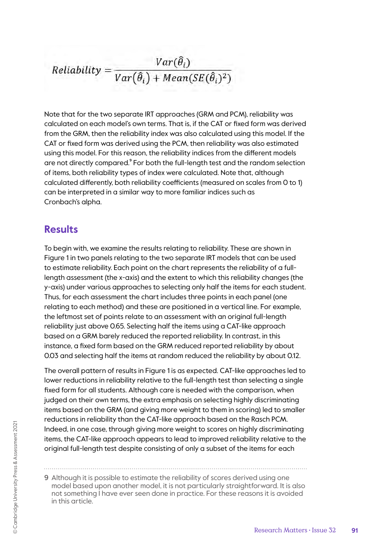$$
Reliability = \frac{Var(\hat{\theta}_i)}{Var(\hat{\theta}_i) + Mean(SE(\hat{\theta}_i)^2)}
$$

Note that for the two separate IRT approaches (GRM and PCM), reliability was calculated on each model's own terms. That is, if the CAT or fixed form was derived from the GRM, then the reliability index was also calculated using this model. If the CAT or fixed form was derived using the PCM, then reliability was also estimated using this model. For this reason, the reliability indices from the different models are not directly compared.<sup>9</sup> For both the full-length test and the random selection of items, both reliability types of index were calculated. Note that, although calculated differently, both reliability coefficients (measured on scales from 0 to 1) can be interpreted in a similar way to more familiar indices such as Cronbach's alpha.

## **Results**

To begin with, we examine the results relating to reliability. These are shown in Figure 1 in two panels relating to the two separate IRT models that can be used to estimate reliability. Each point on the chart represents the reliability of a fulllength assessment (the x-axis) and the extent to which this reliability changes (the y-axis) under various approaches to selecting only half the items for each student. Thus, for each assessment the chart includes three points in each panel (one relating to each method) and these are positioned in a vertical line. For example, the leftmost set of points relate to an assessment with an original full-length reliability just above 0.65. Selecting half the items using a CAT-like approach based on a GRM barely reduced the reported reliability. In contrast, in this instance, a fixed form based on the GRM reduced reported reliability by about 0.03 and selecting half the items at random reduced the reliability by about 0.12.

The overall pattern of results in Figure 1 is as expected. CAT-like approaches led to lower reductions in reliability relative to the full-length test than selecting a single fixed form for all students. Although care is needed with the comparison, when judged on their own terms, the extra emphasis on selecting highly discriminating items based on the GRM (and giving more weight to them in scoring) led to smaller reductions in reliability than the CAT-like approach based on the Rasch PCM. Indeed, in one case, through giving more weight to scores on highly discriminating items, the CAT-like approach appears to lead to improved reliability relative to the original full-length test despite consisting of only a subset of the items for each

<sup>9</sup> Although it is possible to estimate the reliability of scores derived using one model based upon another model, it is not particularly straightforward. It is also not something I have ever seen done in practice. For these reasons it is avoided in this article.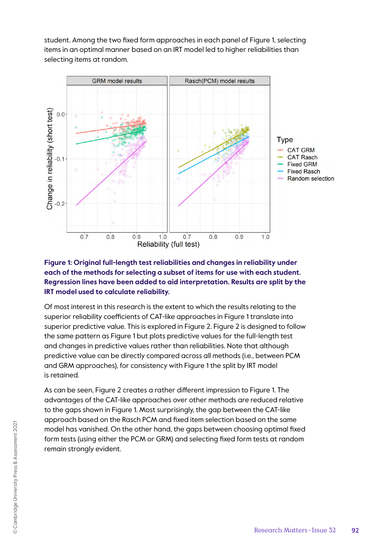student. Among the two fixed form approaches in each panel of Figure 1, selecting items in an optimal manner based on an IRT model led to higher reliabilities than selecting items at random.



## **Figure 1: Original full-length test reliabilities and changes in reliability under each of the methods for selecting a subset of items for use with each student. Regression lines have been added to aid interpretation. Results are split by the IRT model used to calculate reliability.**

Of most interest in this research is the extent to which the results relating to the superior reliability coefficients of CAT-like approaches in Figure 1 translate into superior predictive value. This is explored in Figure 2. Figure 2 is designed to follow the same pattern as Figure 1 but plots predictive values for the full-length test and changes in predictive values rather than reliabilities. Note that although predictive value can be directly compared across all methods (i.e., between PCM and GRM approaches), for consistency with Figure 1 the split by IRT model is retained.

As can be seen, Figure 2 creates a rather different impression to Figure 1. The advantages of the CAT-like approaches over other methods are reduced relative to the gaps shown in Figure 1. Most surprisingly, the gap between the CAT-like approach based on the Rasch PCM and fixed item selection based on the same model has vanished. On the other hand, the gaps between choosing optimal fixed form tests (using either the PCM or GRM) and selecting fixed form tests at random remain strongly evident.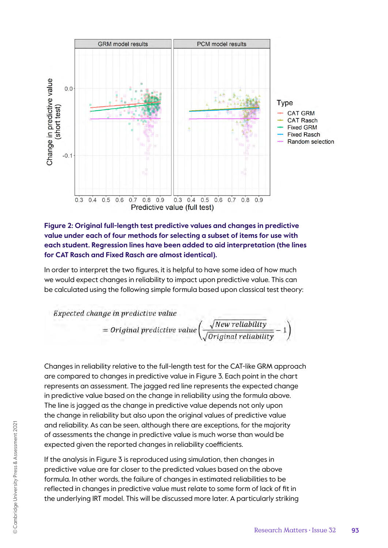

## **Figure 2: Original full-length test predictive values and changes in predictive value under each of four methods for selecting a subset of items for use with each student. Regression lines have been added to aid interpretation (the lines for CAT Rasch and Fixed Rasch are almost identical).**

In order to interpret the two figures, it is helpful to have some idea of how much we would expect changes in reliability to impact upon predictive value. This can be calculated using the following simple formula based upon classical test theory:

Expected change in predictive value  
= Original predictive value 
$$
\left(\frac{\sqrt{New reliability}}{\sqrt{Original reliability}} - 1\right)
$$

Changes in reliability relative to the full-length test for the CAT-like GRM approach are compared to changes in predictive value in Figure 3. Each point in the chart represents an assessment. The jagged red line represents the expected change in predictive value based on the change in reliability using the formula above. The line is jagged as the change in predictive value depends not only upon the change in reliability but also upon the original values of predictive value and reliability. As can be seen, although there are exceptions, for the majority of assessments the change in predictive value is much worse than would be expected given the reported changes in reliability coefficients.

If the analysis in Figure 3 is reproduced using simulation, then changes in predictive value are far closer to the predicted values based on the above formula. In other words, the failure of changes in estimated reliabilities to be reflected in changes in predictive value must relate to some form of lack of fit in the underlying IRT model. This will be discussed more later. A particularly striking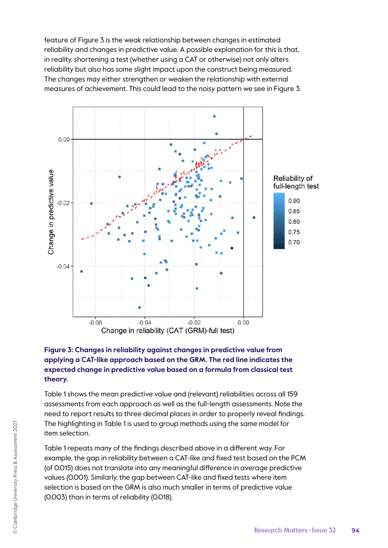feature of Figure 3 is the weak relationship between changes in estimated reliability and changes in predictive value. A possible explanation for this is that, in reality, shortening a test (whether using a CAT or otherwise) not only alters reliability but also has some slight impact upon the construct being measured. The changes may either strengthen or weaken the relationship with external measures of achievement. This could lead to the noisy pattern we see in Figure 3.



## **Figure 3: Changes in reliability against changes in predictive value from applying a CAT-like approach based on the GRM. The red line indicates the expected change in predictive value based on a formula from classical test theory.**

Table 1 shows the mean predictive value and (relevant) reliabilities across all 159 assessments from each approach as well as the full-length assessments. Note the need to report results to three decimal places in order to properly reveal findings. The highlighting in Table 1 is used to group methods using the same model for item selection.

Table 1 repeats many of the findings described above in a different way. For example, the gap in reliability between a CAT-like and fixed test based on the PCM (of 0.015) does not translate into any meaningful difference in average predictive values (0.001). Similarly, the gap between CAT-like and fixed tests where item selection is based on the GRM is also much smaller in terms of predictive value (0.003) than in terms of reliability (0.018).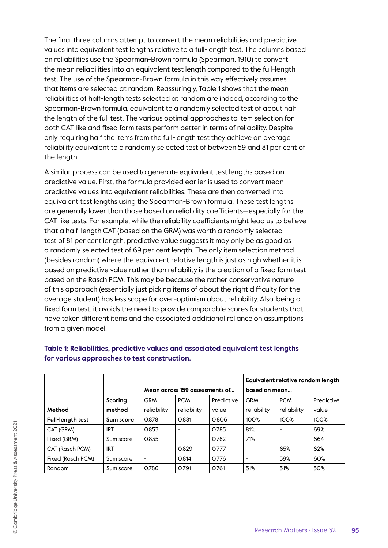The final three columns attempt to convert the mean reliabilities and predictive values into equivalent test lengths relative to a full-length test. The columns based on reliabilities use the Spearman-Brown formula (Spearman, 1910) to convert the mean reliabilities into an equivalent test length compared to the full-length test. The use of the Spearman-Brown formula in this way effectively assumes that items are selected at random. Reassuringly, Table 1 shows that the mean reliabilities of half-length tests selected at random are indeed, according to the Spearman-Brown formula, equivalent to a randomly selected test of about half the length of the full test. The various optimal approaches to item selection for both CAT-like and fixed form tests perform better in terms of reliability. Despite only requiring half the items from the full-length test they achieve an average reliability equivalent to a randomly selected test of between 59 and 81 per cent of the length.

A similar process can be used to generate equivalent test lengths based on predictive value. First, the formula provided earlier is used to convert mean predictive values into equivalent reliabilities. These are then converted into equivalent test lengths using the Spearman-Brown formula. These test lengths are generally lower than those based on reliability coefficients—especially for the CAT-like tests. For example, while the reliability coefficients might lead us to believe that a half-length CAT (based on the GRM) was worth a randomly selected test of 81 per cent length, predictive value suggests it may only be as good as a randomly selected test of 69 per cent length. The only item selection method (besides random) where the equivalent relative length is just as high whether it is based on predictive value rather than reliability is the creation of a fixed form test based on the Rasch PCM. This may be because the rather conservative nature of this approach (essentially just picking items of about the right difficulty for the average student) has less scope for over-optimism about reliability. Also, being a fixed form test, it avoids the need to provide comparable scores for students that have taken different items and the associated additional reliance on assumptions from a given model.

|                         |            |                                |                 |            | Equivalent relative random length |             |            |
|-------------------------|------------|--------------------------------|-----------------|------------|-----------------------------------|-------------|------------|
|                         |            | Mean across 159 assessments of |                 |            | based on mean                     |             |            |
|                         | Scoring    | <b>GRM</b>                     | <b>PCM</b>      | Predictive | <b>GRM</b>                        | <b>PCM</b>  | Predictive |
| Method                  | method     | reliability                    | reliability     | value      | reliability                       | reliability | value      |
| <b>Full-length test</b> | Sum score  | 0.878                          | 0.881           | 0.806      | 100%                              | 100%        | 100%       |
| CAT (GRM)               | <b>IRT</b> | 0.853                          | $\qquad \qquad$ | 0.785      | 81%                               |             | 69%        |
| Fixed (GRM)             | Sum score  | 0.835                          | $\qquad \qquad$ | 0.782      | 71%                               |             | 66%        |
| CAT (Rasch PCM)         | <b>IRT</b> |                                | 0.829           | 0.777      | $\overline{\phantom{a}}$          | 65%         | 62%        |
| Fixed (Rasch PCM)       | Sum score  | $\overline{\phantom{a}}$       | 0.814           | 0.776      | $\overline{\phantom{a}}$          | 59%         | 60%        |
| Random                  | Sum score  | 0.786                          | 0.791           | 0.761      | 51%                               | 51%         | 50%        |

## **Table 1: Reliabilities, predictive values and associated equivalent test lengths for various approaches to test construction.**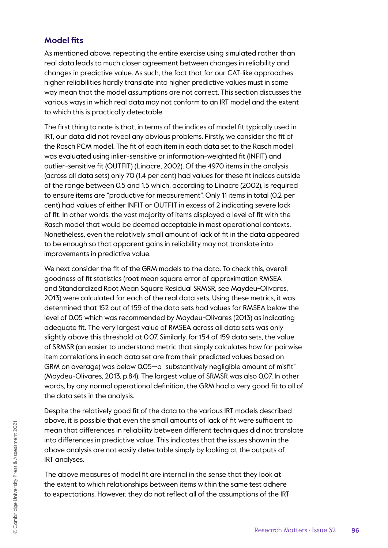## **Model fits**

As mentioned above, repeating the entire exercise using simulated rather than real data leads to much closer agreement between changes in reliability and changes in predictive value. As such, the fact that for our CAT-like approaches higher reliabilities hardly translate into higher predictive values must in some way mean that the model assumptions are not correct. This section discusses the various ways in which real data may not conform to an IRT model and the extent to which this is practically detectable.

The first thing to note is that, in terms of the indices of model fit typically used in IRT, our data did not reveal any obvious problems. Firstly, we consider the fit of the Rasch PCM model. The fit of each item in each data set to the Rasch model was evaluated using inlier-sensitive or information-weighted fit (INFIT) and outlier-sensitive fit (OUTFIT) (Linacre, 2002). Of the 4970 items in the analysis (across all data sets) only 70 (1.4 per cent) had values for these fit indices outside of the range between 0.5 and 1.5 which, according to Linacre (2002), is required to ensure items are "productive for measurement". Only 11 items in total (0.2 per cent) had values of either INFIT or OUTFIT in excess of 2 indicating severe lack of fit. In other words, the vast majority of items displayed a level of fit with the Rasch model that would be deemed acceptable in most operational contexts. Nonetheless, even the relatively small amount of lack of fit in the data appeared to be enough so that apparent gains in reliability may not translate into improvements in predictive value.

We next consider the fit of the GRM models to the data. To check this, overall goodness of fit statistics (root mean square error of approximation RMSEA and Standardized Root Mean Square Residual SRMSR, see Maydeu-Olivares, 2013) were calculated for each of the real data sets. Using these metrics, it was determined that 152 out of 159 of the data sets had values for RMSEA below the level of 0.05 which was recommended by Maydeu-Olivares (2013) as indicating adequate fit. The very largest value of RMSEA across all data sets was only slightly above this threshold at 0.07. Similarly, for 154 of 159 data sets, the value of SRMSR (an easier to understand metric that simply calculates how far pairwise item correlations in each data set are from their predicted values based on GRM on average) was below 0.05—a "substantively negligible amount of misfit" (Maydeu-Olivares, 2013, p.84). The largest value of SRMSR was also 0.07. In other words, by any normal operational definition, the GRM had a very good fit to all of the data sets in the analysis.

Despite the relatively good fit of the data to the various IRT models described above, it is possible that even the small amounts of lack of fit were sufficient to mean that differences in reliability between different techniques did not translate into differences in predictive value. This indicates that the issues shown in the above analysis are not easily detectable simply by looking at the outputs of IRT analyses.

The above measures of model fit are internal in the sense that they look at the extent to which relationships between items within the same test adhere to expectations. However, they do not reflect all of the assumptions of the IRT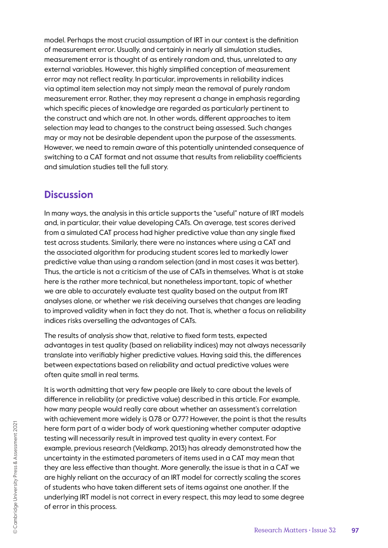model. Perhaps the most crucial assumption of IRT in our context is the definition of measurement error. Usually, and certainly in nearly all simulation studies, measurement error is thought of as entirely random and, thus, unrelated to any external variables. However, this highly simplified conception of measurement error may not reflect reality. In particular, improvements in reliability indices via optimal item selection may not simply mean the removal of purely random measurement error. Rather, they may represent a change in emphasis regarding which specific pieces of knowledge are regarded as particularly pertinent to the construct and which are not. In other words, different approaches to item selection may lead to changes to the construct being assessed. Such changes may or may not be desirable dependent upon the purpose of the assessments. However, we need to remain aware of this potentially unintended consequence of switching to a CAT format and not assume that results from reliability coefficients and simulation studies tell the full story.

# **Discussion**

In many ways, the analysis in this article supports the "useful" nature of IRT models and, in particular, their value developing CATs. On average, test scores derived from a simulated CAT process had higher predictive value than any single fixed test across students. Similarly, there were no instances where using a CAT and the associated algorithm for producing student scores led to markedly lower predictive value than using a random selection (and in most cases it was better). Thus, the article is not a criticism of the use of CATs in themselves. What is at stake here is the rather more technical, but nonetheless important, topic of whether we are able to accurately evaluate test quality based on the output from IRT analyses alone, or whether we risk deceiving ourselves that changes are leading to improved validity when in fact they do not. That is, whether a focus on reliability indices risks overselling the advantages of CATs.

The results of analysis show that, relative to fixed form tests, expected advantages in test quality (based on reliability indices) may not always necessarily translate into verifiably higher predictive values. Having said this, the differences between expectations based on reliability and actual predictive values were often quite small in real terms.

It is worth admitting that very few people are likely to care about the levels of difference in reliability (or predictive value) described in this article. For example, how many people would really care about whether an assessment's correlation with achievement more widely is 0.78 or 0.77? However, the point is that the results here form part of a wider body of work questioning whether computer adaptive testing will necessarily result in improved test quality in every context. For example, previous research (Veldkamp, 2013) has already demonstrated how the uncertainty in the estimated parameters of items used in a CAT may mean that they are less effective than thought. More generally, the issue is that in a CAT we are highly reliant on the accuracy of an IRT model for correctly scaling the scores of students who have taken different sets of items against one another. If the underlying IRT model is not correct in every respect, this may lead to some degree of error in this process.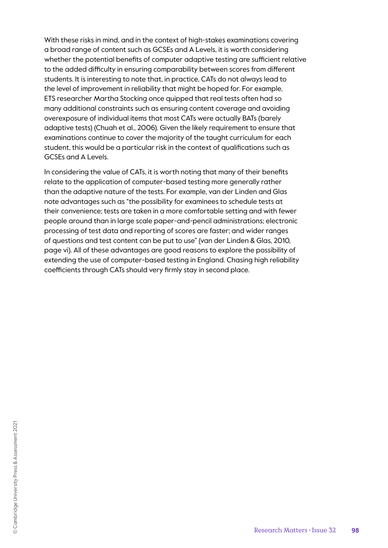With these risks in mind, and in the context of high-stakes examinations covering a broad range of content such as GCSEs and A Levels, it is worth considering whether the potential benefits of computer adaptive testing are sufficient relative to the added difficulty in ensuring comparability between scores from different students. It is interesting to note that, in practice, CATs do not always lead to the level of improvement in reliability that might be hoped for. For example, ETS researcher Martha Stocking once quipped that real tests often had so many additional constraints such as ensuring content coverage and avoiding overexposure of individual items that most CATs were actually BATs (barely adaptive tests) (Chuah et al., 2006). Given the likely requirement to ensure that examinations continue to cover the majority of the taught curriculum for each student, this would be a particular risk in the context of qualifications such as GCSEs and A Levels.

In considering the value of CATs, it is worth noting that many of their benefits relate to the application of computer-based testing more generally rather than the adaptive nature of the tests. For example, van der Linden and Glas note advantages such as "the possibility for examinees to schedule tests at their convenience; tests are taken in a more comfortable setting and with fewer people around than in large scale paper-and-pencil administrations; electronic processing of test data and reporting of scores are faster; and wider ranges of questions and test content can be put to use" (van der Linden & Glas, 2010, page vi). All of these advantages are good reasons to explore the possibility of extending the use of computer-based testing in England. Chasing high reliability coefficients through CATs should very firmly stay in second place.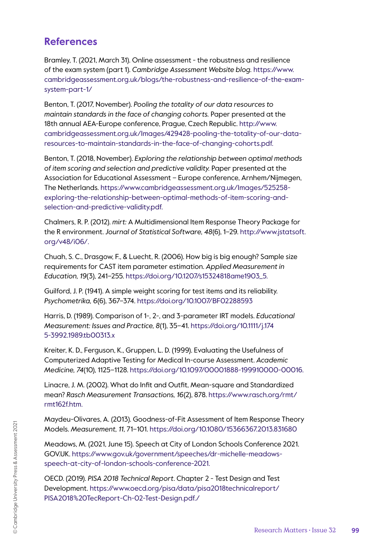# **References**

Bramley, T. (2021, March 31). Online assessment - the robustness and resilience of the exam system (part 1). *Cambridge Assessment Website blog.* https://www. cambridgeassessment.org.uk/blogs/the-robustness-and-resilience-of-the-examsystem-part-1/

Benton, T. (2017, November). *Pooling the totality of our data resources to maintain standards in the face of changing cohorts.* Paper presented at the 18th annual AEA-Europe conference, Prague, Czech Republic. http://www. cambridgeassessment.org.uk/Images/429428-pooling-the-totality-of-our-dataresources-to-maintain-standards-in-the-face-of-changing-cohorts.pdf.

Benton, T. (2018, November). *Exploring the relationship between optimal methods of item scoring and selection and predictive validity.* Paper presented at the Association for Educational Assessment – Europe conference, Arnhem/Nijmegen, The Netherlands. https://www.cambridgeassessment.org.uk/Images/525258 exploring-the-relationship-between-optimal-methods-of-item-scoring-andselection-and-predictive-validity.pdf.

Chalmers, R. P. (2012). *mirt:* A Multidimensional Item Response Theory Package for the R environment. *Journal of Statistical Software, 48*(6), 1–29. http://www.jstatsoft. org/v48/i06/.

Chuah, S. C., Drasgow, F., & Luecht, R. (2006). How big is big enough? Sample size requirements for CAST item parameter estimation. *Applied Measurement in Education, 19*(3), 241–255. https://doi.org/10.1207/s15324818ame1903\_5.

Guilford, J. P. (1941). A simple weight scoring for test items and its reliability. *Psychometrika, 6*(6), 367–374. https://doi.org/10.1007/BF02288593

Harris, D. (1989). Comparison of 1-, 2-, and 3-parameter IRT models. *Educational Measurement: Issues and Practice, 8*(1), 35–41. https://doi.org/10.1111/j.174 5-3992.1989.tb00313.x

Kreiter, K. D., Ferguson, K., Gruppen, L. D. (1999). Evaluating the Usefulness of Computerized Adaptive Testing for Medical In-course Assessment. *Academic Medicine, 74*(10), 1125–1128. https://doi.org/10.1097/00001888-199910000-00016.

Linacre, J. M. (2002). What do Infit and Outfit, Mean-square and Standardized mean? *Rasch Measurement Transactions, 16*(2), 878. https://www.rasch.org/rmt/ rmt162f.htm.

Maydeu-Olivares, A. (2013). Goodness-of-Fit Assessment of Item Response Theory Models. *Measurement, 11*, 71–101. https://doi.org/10.1080/15366367.2013.831680

Meadows, M. (2021, June 15). Speech at City of London Schools Conference 2021. GOV.UK. https://www.gov.uk/government/speeches/dr-michelle-meadowsspeech-at-city-of-london-schools-conference-2021.

OECD. (2019). *PISA 2018 Technical Report*. Chapter 2 - Test Design and Test Development. https://www.oecd.org/pisa/data/pisa2018technicalreport/ PISA2018%20TecReport-Ch-02-Test-Design.pdf./

© Cambridge University Press & Assessment 2021

© Cambridge University Press & Assessment 2021